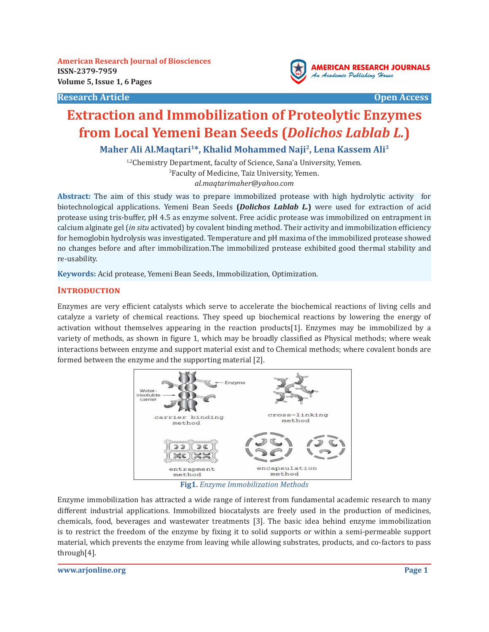**American Research Journal of Biosciences ISSN-2379-7959 Volume 5, Issue 1, 6 Pages**

**Research Article Community Community Community Community Community Community Community Community Community Community** 



# **Extraction and Immobilization of Proteolytic Enzymes from Local Yemeni Bean Seeds (***Dolichos Lablab L.***)**

**Maher Ali Al.Maqtari1\*, Khalid Mohammed Naji2, Lena Kassem Ali3**

<sup>1,2</sup>Chemistry Department, faculty of Science, Sana'a University, Yemen. 3 Faculty of Medicine, Taiz University, Yemen. *al.maqtarimaher@yahoo.com*

**Abstract:** The aim of this study was to prepare immobilized protease with high hydrolytic activity for biotechnological applications. Yemeni Bean Seeds **(***Dolichos Lablab L.***)** were used for extraction of acid protease using tris-buffer, pH 4.5 as enzyme solvent. Free acidic protease was immobilized on entrapment in calcium alginate gel (*in situ* activated) by covalent binding method. Their activity and immobilization efficiency for hemoglobin hydrolysis was investigated. Temperature and pH maxima of the immobilized protease showed no changes before and after immobilization.The immobilized protease exhibited good thermal stability and re-usability.

**Keywords:** Acid protease, Yemeni Bean Seeds, Immobilization, Optimization.

#### **INTRODUCTION**

Enzymes are very efficient catalysts which serve to accelerate the biochemical reactions of living cells and catalyze a variety of chemical reactions. They speed up biochemical reactions by lowering the energy of activation without themselves appearing in the reaction products[1]. Enzymes may be immobilized by a variety of methods, as shown in figure 1, which may be broadly classified as Physical methods; where weak interactions between enzyme and support material exist and to Chemical methods; where covalent bonds are formed between the enzyme and the supporting material [2].



**Fig1.** *Enzyme Immobilization Methods*

Enzyme immobilization has attracted a wide range of interest from fundamental academic research to many different industrial applications. Immobilized biocatalysts are freely used in the production of medicines, chemicals, food, beverages and wastewater treatments [3]. The basic idea behind enzyme immobilization is to restrict the freedom of the enzyme by fixing it to solid supports or within a semi-permeable support material, which prevents the enzyme from leaving while allowing substrates, products, and co-factors to pass through[4].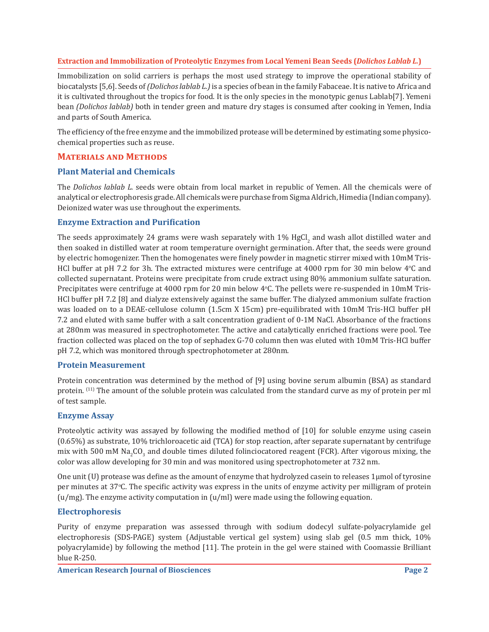Immobilization on solid carriers is perhaps the most used strategy to improve the operational stability of biocatalysts [5,6]. Seeds of *(Dolichos lablab L.)*is a species of bean in the family Fabaceae. It is native to Africa and it is cultivated throughout the tropics for food. It is the only species in the monotypic genus Lablab[7]. Yemeni bean *(Dolichos lablab)* both in tender green and mature dry stages is consumed after cooking in Yemen, India and parts of South America.

The efficiency of the free enzyme and the immobilized protease will be determined by estimating some physicochemical properties such as reuse.

# **Materials and Methods**

#### **Plant Material and Chemicals**

The *Dolichos lablab L.* seeds were obtain from local market in republic of Yemen. All the chemicals were of analytical or electrophoresis grade. All chemicals were purchase from Sigma Aldrich, Himedia (Indian company). Deionized water was use throughout the experiments.

### **Enzyme Extraction and Purification**

The seeds approximately 24 grams were wash separately with  $1\%$  HgCl $_2$  and wash allot distilled water and then soaked in distilled water at room temperature overnight germination. After that, the seeds were ground by electric homogenizer. Then the homogenates were finely powder in magnetic stirrer mixed with 10mM Tris-HCl buffer at pH 7.2 for 3h. The extracted mixtures were centrifuge at  $4000$  rpm for 30 min below  $4^{\circ}$ C and collected supernatant. Proteins were precipitate from crude extract using 80% ammonium sulfate saturation. Precipitates were centrifuge at 4000 rpm for 20 min below 4°C. The pellets were re-suspended in 10mM Tris-HCl buffer pH 7.2 [8] and dialyze extensively against the same buffer. The dialyzed ammonium sulfate fraction was loaded on to a DEAE-cellulose column (1.5cm X 15cm) pre-equilibrated with 10mM Tris-HCl buffer pH 7.2 and eluted with same buffer with a salt concentration gradient of 0-1M NaCl. Absorbance of the fractions at 280nm was measured in spectrophotometer. The active and catalytically enriched fractions were pool. Tee fraction collected was placed on the top of sephadex G-70 column then was eluted with 10mM Tris-HCl buffer pH 7.2, which was monitored through spectrophotometer at 280nm.

#### **Protein Measurement**

Protein concentration was determined by the method of [9] using bovine serum albumin (BSA) as standard protein. <sup>(11)</sup> The amount of the soluble protein was calculated from the standard curve as my of protein per ml of test sample.

#### **Enzyme Assay**

Proteolytic activity was assayed by following the modified method of [10] for soluble enzyme using casein (0.65%) as substrate, 10% trichloroacetic aid (TCA) for stop reaction, after separate supernatant by centrifuge mix with 500 mM Na<sub>2</sub>CO<sub>3</sub> and double times diluted folinciocatored reagent (FCR). After vigorous mixing, the color was allow developing for 30 min and was monitored using spectrophotometer at 732 nm.

One unit (U) protease was define as the amount of enzyme that hydrolyzed casein to releases  $1\mu$ mol of tyrosine per minutes at 37°C. The specific activity was express in the units of enzyme activity per milligram of protein  $(u/mg)$ . The enzyme activity computation in  $(u/ml)$  were made using the following equation.

# **Electrophoresis**

Purity of enzyme preparation was assessed through with sodium dodecyl sulfate-polyacrylamide gel electrophoresis (SDS-PAGE) system (Adjustable vertical gel system) using slab gel (0.5 mm thick, 10% polyacrylamide) by following the method [11]. The protein in the gel were stained with Coomassie Brilliant blue R-250.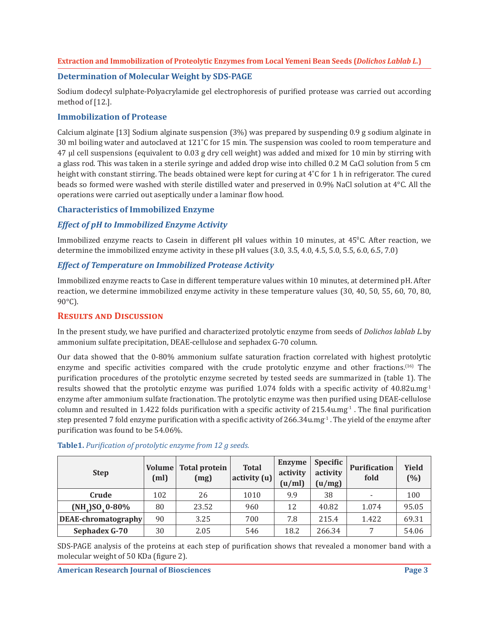### **Determination of Molecular Weight by SDS-PAGE**

Sodium dodecyl sulphate-Polyacrylamide gel electrophoresis of purified protease was carried out according method of [12.].

### **Immobilization of Protease**

Calcium alginate [13] Sodium alginate suspension (3%) was prepared by suspending 0.9 g sodium alginate in 30 ml boiling water and autoclaved at 121˚C for 15 min. The suspension was cooled to room temperature and 47 µl cell suspensions (equivalent to 0.03 g dry cell weight) was added and mixed for 10 min by stirring with a glass rod. This was taken in a sterile syringe and added drop wise into chilled 0.2 M CaCl solution from 5 cm height with constant stirring. The beads obtained were kept for curing at 4°C for 1 h in refrigerator. The cured beads so formed were washed with sterile distilled water and preserved in 0.9% NaCl solution at 4°C. All the operations were carried out aseptically under a laminar flow hood.

#### **Characteristics of Immobilized Enzyme**

# *Effect of pH to Immobilized Enzyme Activity*

Immobilized enzyme reacts to Casein in different  $pH$  values within  $10$  minutes, at  $45^{\circ}$ C. After reaction, we determine the immobilized enzyme activity in these pH values (3.0, 3.5, 4.0, 4.5, 5.0, 5.5, 6.0, 6.5, 7.0)

# *Effect of Temperature on Immobilized Protease Activity*

Immobilized enzyme reacts to Case in different temperature values within 10 minutes, at determined pH. After reaction, we determine immobilized enzyme activity in these temperature values (30, 40, 50, 55, 60, 70, 80, 90°C).

# **Results and Discussion**

In the present study, we have purified and characterized protolytic enzyme from seeds of *Dolichos lablab L.*by ammonium sulfate precipitation, DEAE-cellulose and sephadex G-70 column.

Our data showed that the 0-80% ammonium sulfate saturation fraction correlated with highest protolytic enzyme and specific activities compared with the crude protolytic enzyme and other fractions.<sup>(16)</sup> The purification procedures of the protolytic enzyme secreted by tested seeds are summarized in (table 1). The results showed that the protolytic enzyme was purified 1.074 folds with a specific activity of 40.82u.mg<sup>-1</sup> enzyme after ammonium sulfate fractionation. The protolytic enzyme was then purified using DEAE-cellulose column and resulted in 1.422 folds purification with a specific activity of  $215.4u$ .mg<sup>-1</sup>. The final purification step presented 7 fold enzyme purification with a specific activity of  $266.34u$ .mg<sup>-1</sup>. The yield of the enzyme after purification was found to be 54.06%.

| <b>Step</b>         | Volume<br>(m <sub>l</sub> ) | <b>Total protein</b><br>(mg) | <b>Total</b><br>$ $ activity $(u)$ | <b>Enzyme</b><br>activity<br>(u/ml) | Specific<br>activity<br>(u/mg) | <b>Purification</b><br>fold | <b>Yield</b><br>(%) |
|---------------------|-----------------------------|------------------------------|------------------------------------|-------------------------------------|--------------------------------|-----------------------------|---------------------|
| Crude               | 102                         | 26                           | 1010                               | 9.9                                 | 38                             |                             | 100                 |
| $(NH_4)SO_40-80\%$  | 80                          | 23.52                        | 960                                | 12                                  | 40.82                          | 1.074                       | 95.05               |
| DEAE-chromatography | 90                          | 3.25                         | 700                                | 7.8                                 | 215.4                          | 1.422                       | 69.31               |
| Sephadex G-70       | 30                          | 2.05                         | 546                                | 18.2                                | 266.34                         | $\overline{ }$              | 54.06               |

### **Table1.** *Purification of protolytic enzyme from 12 g seeds.*

SDS-PAGE analysis of the proteins at each step of purification shows that revealed a monomer band with a molecular weight of 50 KDa (figure 2).

**American Research Journal of Biosciences**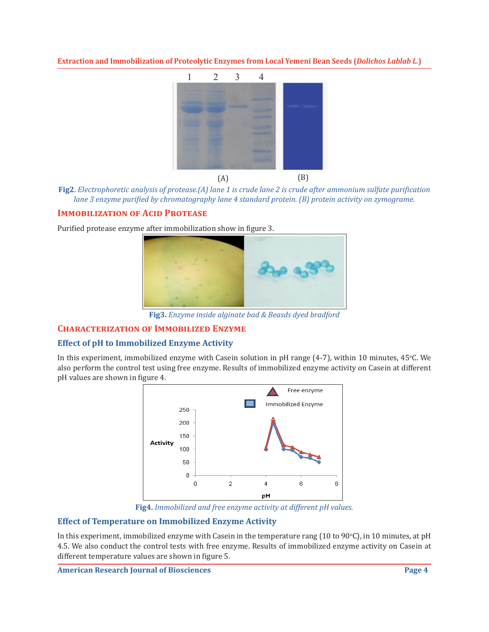

**Fig2**. *Electrophoretic analysis of protease.(A) lane 1 is crude lane 2 is crude after ammonium sulfate purification lane 3 enzyme purified by chromatography lane 4 standard protein. (B) protein activity on zymograme.*

# **IMMOBILIZATION OF ACID PROTEASE**

Purified protease enzyme after immobilization show in figure 3.



**Fig3.** *Enzyme inside alginate bad & Beasds dyed bradford*

# **Characterization of Immobilized Enzyme**

# **Effect of pH to Immobilized Enzyme Activity**

In this experiment, immobilized enzyme with Casein solution in pH range (4-7), within 10 minutes, 45°C. We also perform the control test using free enzyme. Results of immobilized enzyme activity on Casein at different pH values are shown in figure 4.



**Fig4.** *Immobilized and free enzyme activity at different pH values.*

# **Effect of Temperature on Immobilized Enzyme Activity**

In this experiment, immobilized enzyme with Casein in the temperature rang (10 to 90°C), in 10 minutes, at pH 4.5. We also conduct the control tests with free enzyme. Results of immobilized enzyme activity on Casein at different temperature values are shown in figure 5.

**American Research Journal of Biosciences**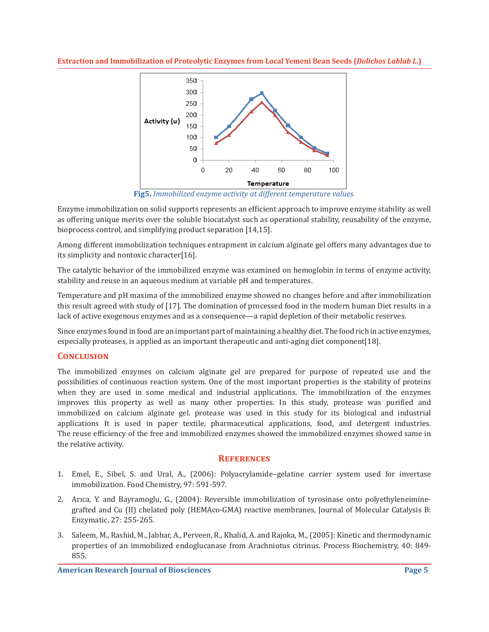

**Fig5.** *Immobilized enzyme activity at different temperature values.*

Enzyme immobilization on solid supports represents an efficient approach to improve enzyme stability as well as offering unique merits over the soluble biocatalyst such as operational stability, reusability of the enzyme, bioprocess control, and simplifying product separation [14,15].

Among different immobilization techniques entrapment in calcium alginate gel offers many advantages due to its simplicity and nontoxic character[16].

The catalytic behavior of the immobilized enzyme was examined on hemoglobin in terms of enzyme activity, stability and reuse in an aqueous medium at variable pH and temperatures.

Temperature and pH maxima of the immobilized enzyme showed no changes before and after immobilization this result agreed with study of [17]. The domination of processed food in the modern human Diet results in a lack of active exogenous enzymes and as a consequence—a rapid depletion of their metabolic reserves.

Since enzymes found in food are an important part of maintaining a healthy diet. The food rich in active enzymes, especially proteases, is applied as an important therapeutic and anti-aging diet component[18].

# **Conclusion**

The immobilized enzymes on calcium alginate gel are prepared for purpose of repeated use and the possibilities of continuous reaction system. One of the most important properties is the stability of proteins when they are used in some medical and industrial applications. The immobilization of the enzymes improves this property as well as many other properties. In this study, protease was purified and immobilized on calcium alginate gel. protease was used in this study for its biological and industrial applications It is used in paper textile, pharmaceutical applications, food, and detergent industries. The reuse efficiency of the free and immobilized enzymes showed the immobilized enzymes showed same in the relative activity.

# **References**

- 1. Emel, E., Sibel, S. and Ural, A., (2006): Polyacrylamide–gelatine carrier system used for invertase immobilization. Food Chemistry, 97: 591-597.
- 2. Arıca, Y. and Bayramoglu, G., (2004): Reversible immobilization of tyrosinase onto polyethyleneiminegrafted and Cu (II) chelated poly (HEMAco-GMA) reactive membranes, Journal of Molecular Catalysis B: Enzymatic, 27: 255-265.
- 3. Saleem, M., Rashid, M., Jabbar, A., Perveen, R., Khalid, A. and Rajoka, M., (2005): Kinetic and thermodynamic properties of an immobilized endoglucanase from Arachniotus citrinus. Process Biochemistry, 40: 849- 855.